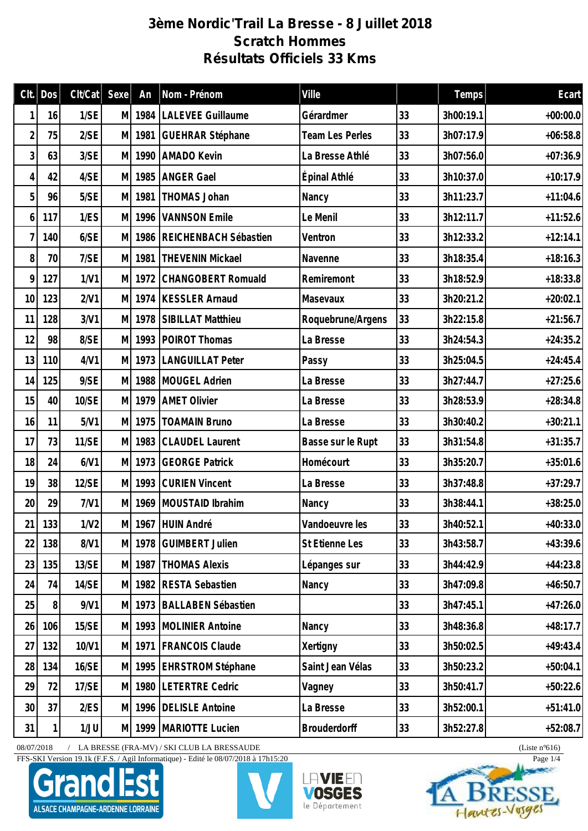## **3ème Nordic'Trail La Bresse - 8 Juillet 2018 Scratch Hommes Résultats Officiels 33 Kms**

| Clt.           | Dos      | Clt/Cat      | Sexe | An     | Nom - Prénom              | Ville                  |    | Temps     | Ecart      |
|----------------|----------|--------------|------|--------|---------------------------|------------------------|----|-----------|------------|
|                | 16       | 1/SE         |      | M 1984 | LALEVEE Guillaume         | Gérardmer              | 33 | 3h00:19.1 | $+00:00.0$ |
| $\overline{2}$ | 75       | 2/SE         | M    | 1981   | <b>GUEHRAR Stéphane</b>   | <b>Team Les Perles</b> | 33 | 3h07:17.9 | $+06:58.8$ |
| 3              | 63       | 3/SE         | M    | 1990   | <b>AMADO Kevin</b>        | La Bresse Athlé        | 33 | 3h07:56.0 | $+07:36.9$ |
| 4              | 42       | 4/SE         | M    | 1985   | <b>ANGER Gael</b>         | Épinal Athlé           | 33 | 3h10:37.0 | $+10:17.9$ |
| 5              | 96       | 5/SE         | M    | 1981   | THOMAS Johan              | Nancy                  | 33 | 3h11:23.7 | $+11:04.6$ |
| 6              | 117      | 1/ES         | M    | 1996   | <b>VANNSON Emile</b>      | Le Menil               | 33 | 3h12:11.7 | $+11:52.6$ |
| 7              | 140      | 6/SE         | M    | 1986   | REICHENBACH Sébastien     | Ventron                | 33 | 3h12:33.2 | $+12:14.1$ |
| 8              | 70       | 7/SE         | M    | 1981   | <b>THEVENIN Mickael</b>   | Navenne                | 33 | 3h18:35.4 | $+18:16.3$ |
| 9              | 127      | 1/V1         | M    | 1972   | CHANGOBERT Romuald        | Remiremont             | 33 | 3h18:52.9 | $+18:33.8$ |
| 10             | 123      | 2/V1         | M    | 1974   | <b>KESSLER Arnaud</b>     | Masevaux               | 33 | 3h20:21.2 | $+20:02.1$ |
| 11             | 128      | 3/V1         | M    | 1978   | SIBILLAT Matthieu         | Roquebrune/Argens      | 33 | 3h22:15.8 | $+21:56.7$ |
| 12             | 98       | 8/SE         | M    | 1993   | POIROT Thomas             | La Bresse              | 33 | 3h24:54.3 | $+24:35.2$ |
| 13             | 110      | 4/V1         | M    |        | 1973 LANGUILLAT Peter     | Passy                  | 33 | 3h25:04.5 | $+24:45.4$ |
| 14             | 125      | 9/SE         | M    | 1988   | MOUGEL Adrien             | La Bresse              | 33 | 3h27:44.7 | $+27:25.6$ |
| 15             | 40       | 10/SE        | M    | 1979   | <b>AMET Olivier</b>       | La Bresse              | 33 | 3h28:53.9 | $+28:34.8$ |
| 16             | 11       | 5/V1         |      | M 1975 | <b>TOAMAIN Bruno</b>      | La Bresse              | 33 | 3h30:40.2 | $+30:21.1$ |
| 17             | 73       | <b>11/SE</b> | M    | 1983   | <b>CLAUDEL Laurent</b>    | Basse sur le Rupt      | 33 | 3h31:54.8 | $+31:35.7$ |
| 18             | 24       | 6/V1         | M    | 1973   | <b>GEORGE Patrick</b>     | Homécourt              | 33 | 3h35:20.7 | $+35:01.6$ |
| 19             | 38       | 12/SE        | M    | 1993   | <b>CURIEN Vincent</b>     | La Bresse              | 33 | 3h37:48.8 | $+37:29.7$ |
| 20             | 29       | 7/V1         |      | M 1969 | MOUSTAID Ibrahim          | Nancy                  | 33 | 3h38:44.1 | $+38:25.0$ |
|                | 21   133 | 1/N2         |      |        | M 1967 HUIN André         | Vandoeuvre les         | 33 | 3h40:52.1 | $+40:33.0$ |
| 22             | 138      | 8/V1         |      |        | M 1978 GUIMBERT Julien    | St Etienne Les         | 33 | 3h43:58.7 | $+43:39.6$ |
| 23             | 135      | 13/SE        |      | M 1987 | <b>THOMAS Alexis</b>      | Lépanges sur           | 33 | 3h44:42.9 | $+44:23.8$ |
| 24             | 74       | 14/SE        |      | M 1982 | <b>RESTA Sebastien</b>    | Nancy                  | 33 | 3h47:09.8 | $+46:50.7$ |
| 25             | 8        | 9/N1         |      |        | M 1973 BALLABEN Sébastien |                        | 33 | 3h47:45.1 | $+47:26.0$ |
| 26             | 106      | 15/SE        |      |        | M 1993 MOLINIER Antoine   | Nancy                  | 33 | 3h48:36.8 | $+48:17.7$ |
| 27             | 132      | 10/V1        |      |        | M 1971   FRANCOIS Claude  | Xertigny               | 33 | 3h50:02.5 | $+49:43.4$ |
| 28             | 134      | 16/SE        |      |        | M 1995 EHRSTROM Stéphane  | Saint Jean Vélas       | 33 | 3h50:23.2 | $+50:04.1$ |
| 29             | 72       | 17/SE        |      | M 1980 | <b>LETERTRE Cedric</b>    | Vagney                 | 33 | 3h50:41.7 | $+50:22.6$ |
| 30             | 37       | 2/ES         | M    | 1996   | <b>DELISLE Antoine</b>    | La Bresse              | 33 | 3h52:00.1 | $+51:41.0$ |
| 31             |          | 1/JU         |      | M 1999 | MARIOTTE Lucien           | <b>Brouderdorff</b>    | 33 | 3h52:27.8 | $+52:08.7$ |

08/07/2018 / LA BRESSE (FRA-MV) / SKI CLUB LA BRESSAUDE (Liste n°616)

FFS-SKI Version 19.1k (F.F.S. / Agil Informatique) - Edité le 08/07/2018 à 17h15:20 Page 1/4







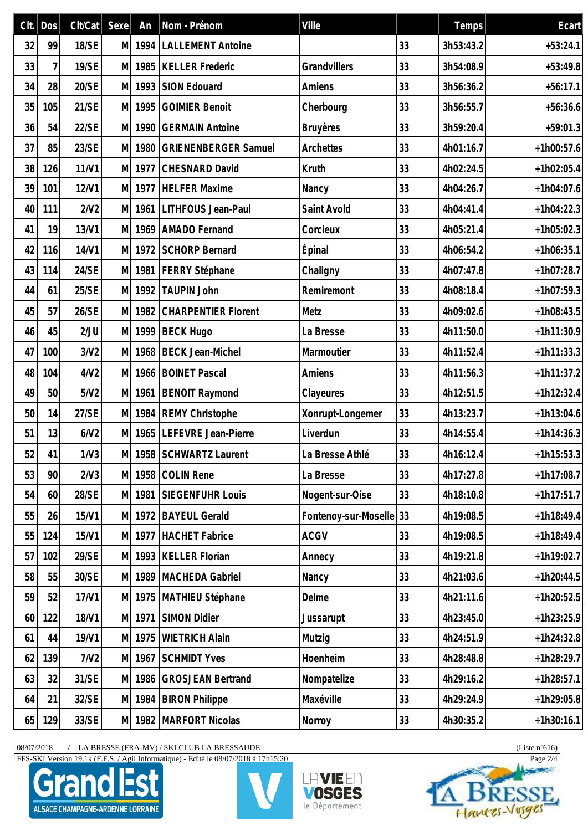|    | $Clt.$ Dos | Clt/Cat | Sexe | An     | Nom - Prénom                | Ville                |    | Temps     | Ecart        |
|----|------------|---------|------|--------|-----------------------------|----------------------|----|-----------|--------------|
| 32 | 99         | 18/SE   | M    | 1994   | <b>LALLEMENT Antoine</b>    |                      | 33 | 3h53:43.2 | $+53:24.1$   |
| 33 | 7          | 19/SE   | M    | 1985   | <b>KELLER Frederic</b>      | Grandvillers         | 33 | 3h54:08.9 | $+53:49.8$   |
| 34 | 28         | 20/SE   | M    | 1993   | <b>SION Edouard</b>         | Amiens               | 33 | 3h56:36.2 | $+56:17.1$   |
| 35 | 105        | 21/SE   | M    | 1995   | <b>GOIMIER Benoit</b>       | Cherbourg            | 33 | 3h56:55.7 | $+56:36.6$   |
| 36 | 54         | 22/SE   | M    | 1990   | <b>GERMAIN Antoine</b>      | <b>Bruyères</b>      | 33 | 3h59:20.4 | $+59:01.3$   |
| 37 | 85         | 23/SE   | M    | 1980   | <b>GRIENENBERGER Samuel</b> | Archettes            | 33 | 4h01:16.7 | $+1h00:57.6$ |
| 38 | 126        | 11/N1   | M    | 1977   | <b>CHESNARD David</b>       | Kruth                | 33 | 4h02:24.5 | $+1h02:05.4$ |
| 39 | 101        | 12/V1   | M    | 1977   | <b>HELFER Maxime</b>        | Nancy                | 33 | 4h04:26.7 | $+1h04:07.6$ |
| 40 | 111        | 2/N2    | M    | 1961   | LITHFOUS Jean-Paul          | Saint Avold          | 33 | 4h04:41.4 | $+1h04:22.3$ |
| 41 | 19         | 13/V1   | M    | 1969   | <b>AMADO</b> Fernand        | Corcieux             | 33 | 4h05:21.4 | $+1h05:02.3$ |
| 42 | 116        | 14/V1   | M    | 1972   | <b>SCHORP Bernard</b>       | Épinal               | 33 | 4h06:54.2 | $+1h06:35.1$ |
| 43 | 114        | 24/SE   | M    |        | 1981   FERRY Stéphane       | Chaligny             | 33 | 4h07:47.8 | $+1h07:28.7$ |
| 44 | 61         | 25/SE   | M    | 1992   | <b>TAUPIN John</b>          | Remiremont           | 33 | 4h08:18.4 | $+1h07:59.3$ |
| 45 | 57         | 26/SE   | M    | 1982   | <b>CHARPENTIER Florent</b>  | Metz                 | 33 | 4h09:02.6 | $+1h08:43.5$ |
| 46 | 45         | 2/JU    | M    | 1999   | <b>BECK Hugo</b>            | La Bresse            | 33 | 4h11:50.0 | $+1h11:30.9$ |
| 47 | 100        | 3/N2    | M    | 1968   | <b>BECK Jean-Michel</b>     | Marmoutier           | 33 | 4h11:52.4 | $+1h11:33.3$ |
| 48 | 104        | 4/N2    | M    | 1966   | <b>BOINET Pascal</b>        | Amiens               | 33 | 4h11:56.3 | $+1h11:37.2$ |
| 49 | 50         | 5/N2    | M    | 1961   | <b>BENOIT Raymond</b>       | Clayeures            | 33 | 4h12:51.5 | $+1h12:32.4$ |
| 50 | 14         | 27/SE   |      |        | M 1984 REMY Christophe      | Xonrupt-Longemer     | 33 | 4h13:23.7 | $+1h13:04.6$ |
| 51 | 13         | 6/N2    | M    | 1965   | LEFEVRE Jean-Pierre         | Liverdun             | 33 | 4h14:55.4 | $+1h14:36.3$ |
| 52 | 41         | 1/N3    |      |        | M 1958 SCHWARTZ Laurent     | La Bresse Athlé      | 33 | 4h16:12.4 | $+1h15:53.3$ |
| 53 | 90         | 2/N3    | M    | 1958   | <b>COLIN Rene</b>           | La Bresse            | 33 | 4h17:27.8 | $+1h17:08.7$ |
| 54 | 60         | 28/SE   |      | M 1981 | SIEGENFUHR Louis            | Nogent-sur-Oise      | 33 | 4h18:10.8 | $+1h17:51.7$ |
| 55 | 26         | 15/V1   | M    | 1972   | <b>BAYEUL Gerald</b>        | Fontenoy-sur-Moselle | 33 | 4h19:08.5 | $+1h18:49.4$ |
| 55 | 124        | 15/V1   | M    | 1977   | HACHET Fabrice              | <b>ACGV</b>          | 33 | 4h19:08.5 | $+1h18:49.4$ |
| 57 | 102        | 29/SE   | M    | 1993   | <b>KELLER Florian</b>       | Annecy               | 33 | 4h19:21.8 | $+1h19:02.7$ |
| 58 | 55         | 30/SE   | M    | 1989   | MACHEDA Gabriel             | Nancy                | 33 | 4h21:03.6 | $+1h20:44.5$ |
| 59 | 52         | 17/V1   | M    | 1975   | MATHIEU Stéphane            | Delme                | 33 | 4h21:11.6 | $+1h20:52.5$ |
| 60 | 122        | 18/V1   | M    | 1971   | SIMON Didier                | Jussarupt            | 33 | 4h23:45.0 | $+1h23:25.9$ |
| 61 | 44         | 19/V1   | M    | 1975   | <b>WIETRICH Alain</b>       | Mutzig               | 33 | 4h24:51.9 | $+1h24:32.8$ |
| 62 | 139        | 7/N2    | M    | 1967   | <b>SCHMIDT Yves</b>         | Hoenheim             | 33 | 4h28:48.8 | $+1h28:29.7$ |
| 63 | 32         | 31/SE   | M    | 1986   | <b>GROSJEAN Bertrand</b>    | Nompatelize          | 33 | 4h29:16.2 | $+1h28:57.1$ |
| 64 | 21         | 32/SE   | M    | 1984   | <b>BIRON Philippe</b>       | Maxéville            | 33 | 4h29:24.9 | $+1h29:05.8$ |
| 65 | 129        | 33/SE   |      | M 1982 | MARFORT Nicolas             | Norroy               | 33 | 4h30:35.2 | $+1h30:16.1$ |

 $08/07/2018$  / LA BRESSE (FRA-MV) / SKI CLUB LA BRESSAUDE (Liste n°616)

FFS-SKI Version 19.1k (F.F.S. / Agil Informatique) - Edité le 08/07/2018 à 17h15:20 Page 2/4







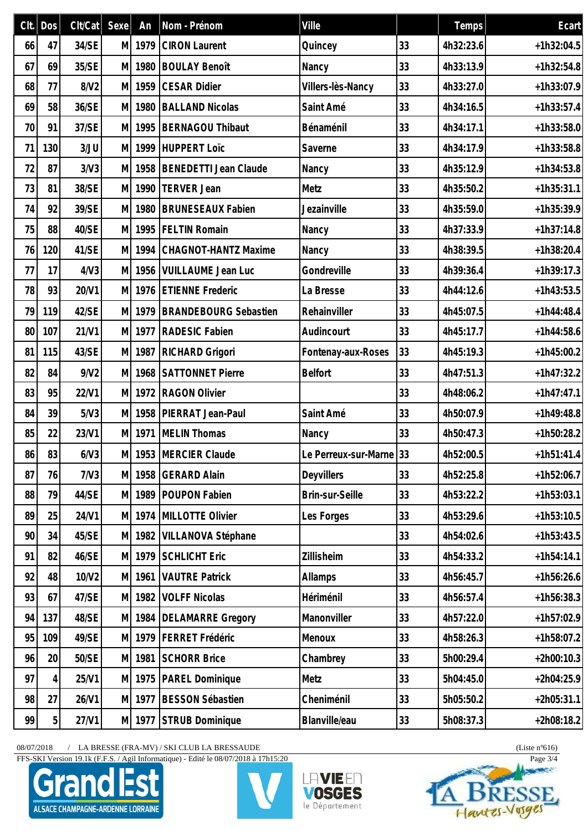|    | $Clt.  $ Dos   | Clt/Cat | Sexe | An     | Nom - Prénom                 | Ville                   |    | Temps     | Ecart        |
|----|----------------|---------|------|--------|------------------------------|-------------------------|----|-----------|--------------|
| 66 | 47             | 34/SE   | МI   | 1979   | <b>CIRON Laurent</b>         | Quincey                 | 33 | 4h32:23.6 | $+1h32:04.5$ |
| 67 | 69             | 35/SE   | M    | 1980   | <b>BOULAY Benoît</b>         | Nancy                   | 33 | 4h33:13.9 | $+1h32:54.8$ |
| 68 | 77             | 8/V2    | M    | 1959   | <b>CESAR Didier</b>          | Villers-lès-Nancy       | 33 | 4h33:27.0 | $+1h33:07.9$ |
| 69 | 58             | 36/SE   | M    | 1980   | <b>BALLAND Nicolas</b>       | Saint Amé               | 33 | 4h34:16.5 | $+1h33:57.4$ |
| 70 | 91             | 37/SE   | M    | 1995   | BERNAGOU Thibaut             | Bénaménil               | 33 | 4h34:17.1 | $+1h33:58.0$ |
| 71 | 130            | 3/JU    | M    | 1999   | HUPPERT Loïc                 | Saverne                 | 33 | 4h34:17.9 | $+1h33:58.8$ |
| 72 | 87             | 3/N3    | M    | 1958   | BENEDETTI Jean Claude        | Nancy                   | 33 | 4h35:12.9 | $+1h34:53.8$ |
| 73 | 81             | 38/SE   | M    | 1990   | <b>TERVER Jean</b>           | Metz                    | 33 | 4h35:50.2 | $+1h35:31.1$ |
| 74 | 92             | 39/SE   | M    | 1980   | <b>BRUNESEAUX Fabien</b>     | Jezainville             | 33 | 4h35:59.0 | $+1h35:39.9$ |
| 75 | 88             | 40/SE   | M    | 1995   | <b>FELTIN Romain</b>         | Nancy                   | 33 | 4h37:33.9 | $+1h37:14.8$ |
| 76 | 120            | 41/SE   | M    | 1994   | <b>CHAGNOT-HANTZ Maxime</b>  | Nancy                   | 33 | 4h38:39.5 | $+1h38:20.4$ |
| 77 | 17             | 4/N3    | МI   | 1956   | <b>VUILLAUME Jean Luc</b>    | Gondreville             | 33 | 4h39:36.4 | $+1h39:17.3$ |
| 78 | 93             | 20/V1   | M    | 1976   | <b>ETIENNE Frederic</b>      | La Bresse               | 33 | 4h44:12.6 | $+1h43:53.5$ |
| 79 | 119            | 42/SE   | M    | 1979   | <b>BRANDEBOURG Sebastien</b> | Rehainviller            | 33 | 4h45:07.5 | $+1h44:48.4$ |
| 80 | 107            | 21/V1   | M    | 1977   | <b>RADESIC Fabien</b>        | Audincourt              | 33 | 4h45:17.7 | $+1h44:58.6$ |
| 81 | 115            | 43/SE   | M    | 1987   | RICHARD Grigori              | Fontenay-aux-Roses      | 33 | 4h45:19.3 | $+1h45:00.2$ |
| 82 | 84             | 9/N2    | M    | 1968   | <b>SATTONNET Pierre</b>      | <b>Belfort</b>          | 33 | 4h47:51.3 | $+1h47:32.2$ |
| 83 | 95             | 22/V1   | M    | 1972   | <b>RAGON Olivier</b>         |                         | 33 | 4h48:06.2 | $+1h47:47.1$ |
| 84 | 39             | 5/N3    | МI   | 1958   | PIERRAT Jean-Paul            | Saint Amé               | 33 | 4h50:07.9 | $+1h49:48.8$ |
| 85 | 22             | 23/V1   | M    | 1971   | MELIN Thomas                 | Nancy                   | 33 | 4h50:47.3 | $+1h50:28.2$ |
| 86 | 83             | 6/N3    |      |        | M 1953 MERCIER Claude        | Le Perreux-sur-Marne 33 |    | 4h52:00.5 | $+1h51:41.4$ |
| 87 | 76             | 7/N3    | M    | 1958   | <b>GERARD Alain</b>          | Deyvillers              | 33 | 4h52:25.8 | $+1h52:06.7$ |
| 88 | 79             | 44/SE   | M    | 1989   | POUPON Fabien                | Brin-sur-Seille         | 33 | 4h53:22.2 | $+1h53:03.1$ |
| 89 | 25             | 24/V1   | M    | 1974   | MILLOTTE Olivier             | Les Forges              | 33 | 4h53:29.6 | $+1h53:10.5$ |
| 90 | 34             | 45/SE   | M    | 1982   | VILLANOVA Stéphane           |                         | 33 | 4h54:02.6 | $+1h53:43.5$ |
| 91 | 82             | 46/SE   | M    | 1979   | <b>SCHLICHT Eric</b>         | Zillisheim              | 33 | 4h54:33.2 | $+1h54:14.1$ |
| 92 | 48             | 10/V2   | M    | 1961   | <b>VAUTRE Patrick</b>        | Allamps                 | 33 | 4h56:45.7 | $+1h56:26.6$ |
| 93 | 67             | 47/SE   | M    | 1982   | <b>VOLFF Nicolas</b>         | Hériménil               | 33 | 4h56:57.4 | $+1h56:38.3$ |
| 94 | 137            | 48/SE   | M    | 1984   | <b>DELAMARRE Gregory</b>     | Manonviller             | 33 | 4h57:22.0 | $+1h57:02.9$ |
| 95 | 109            | 49/SE   | M    | 1979   | <b>FERRET Frédéric</b>       | Menoux                  | 33 | 4h58:26.3 | $+1h58:07.2$ |
| 96 | 20             | 50/SE   | M    | 1981   | <b>SCHORR Brice</b>          | Chambrey                | 33 | 5h00:29.4 | $+2h00:10.3$ |
| 97 | 4              | 25/V1   | M.   | 1975   | PAREL Dominique              | Metz                    | 33 | 5h04:45.0 | $+2h04:25.9$ |
| 98 | 27             | 26/V1   | M    | 1977   | <b>BESSON Sébastien</b>      | Cheniménil              | 33 | 5h05:50.2 | $+2h05:31.1$ |
| 99 | 5 <sup>1</sup> | 27/V1   |      | M 1977 | STRUB Dominique              | Blanville/eau           | 33 | 5h08:37.3 | $+2h08:18.2$ |

 $08/07/2018$  / LA BRESSE (FRA-MV) / SKI CLUB LA BRESSAUDE (Liste n°616)

FFS-SKI Version 19.1k (F.F.S. / Agil Informatique) - Edité le 08/07/2018 à 17h15:20 Page 3/4